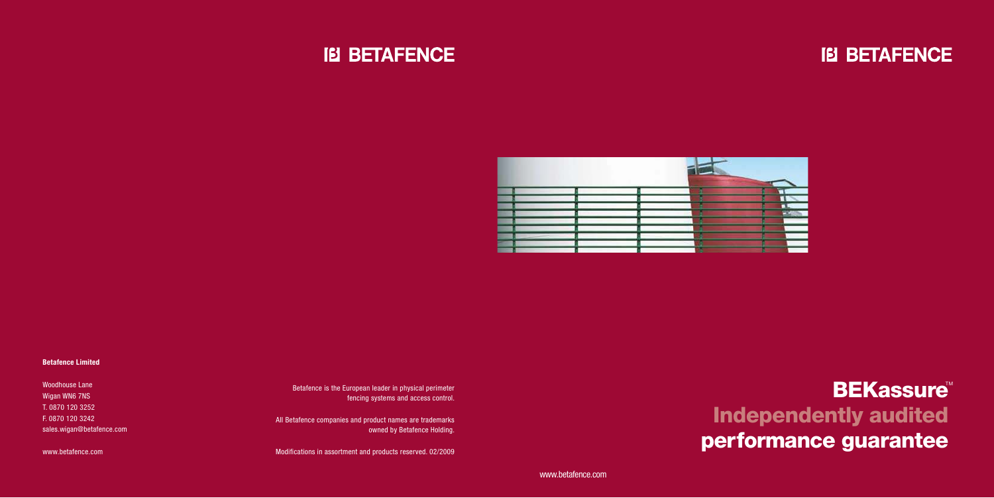## **BEKassure** Independently audited performance guarantee

## **IEI BETAFENCE**



#### **Betafence Limited**

Woodhouse Lane Wigan WN6 7NS T. 0870 120 3252 F. 0870 120 3242 sales.wigan@betafence.com

www.betafence.com

Betafence is the European leader in physical perimeter fencing systems and access control.

All Betafence companies and product names are trademarks owned by Betafence Holding.

Modifications in assortment and products reserved. 02/2009



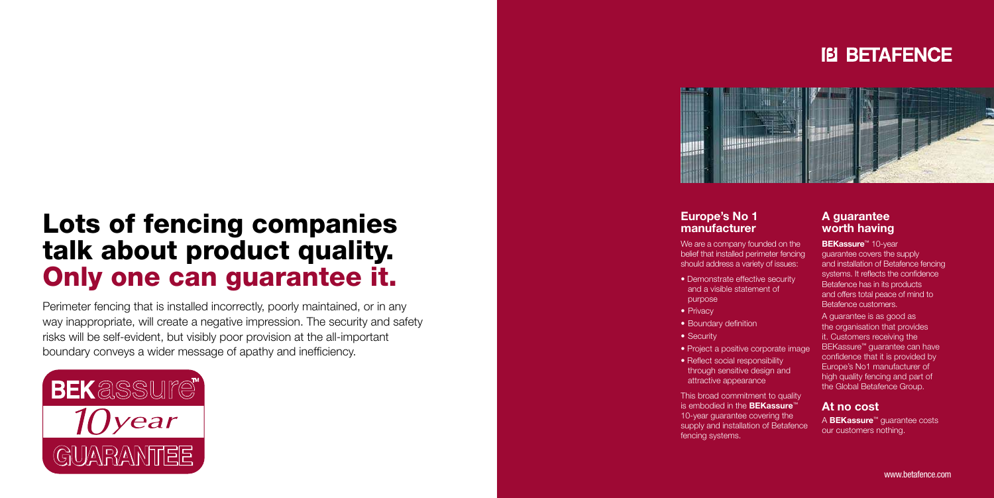# Lots of fencing companies talk about product quality. Only one can guarantee it.

Perimeter fencing that is installed incorrectly, poorly maintained, or in any way inappropriate, will create a negative impression. The security and safety risks will be self-evident, but visibly poor provision at the all-important boundary conveys a wider message of apathy and inefficiency.





We are a company founded on the belief that installed perimeter fencing should address a variety of issues:

- Demonstrate effective security and a visible statement of
	- purpose
- Privacy
- Boundary definition
- Security
- Project a positive corporate image
- Reflect social responsibility through sensitive design and attractive appearance

#### **Europe's No 1 manufacturer**

**BEKassure<sup>™</sup> 10-year** guarantee covers the supply and installation of Betafence fencing systems. It reflects the confidence Betafence has in its products and offers total peace of mind to Betafence customers.

This broad commitment to quality is embodied in the **BEKassure** ™ 10-year guarantee covering the supply and installation of Betafence fencing systems.





- 
- 
- 

#### **A guarantee worth having**

A guarantee is as good as the organisation that provides it. Customers receiving the BEKassure ™ guarantee can have confidence that it is provided by Europe's No1 manufacturer of high quality fencing and part of the Global Betafence Group.

#### **At no cost**

A **BEKassure**™ guarantee costs our customers nothing.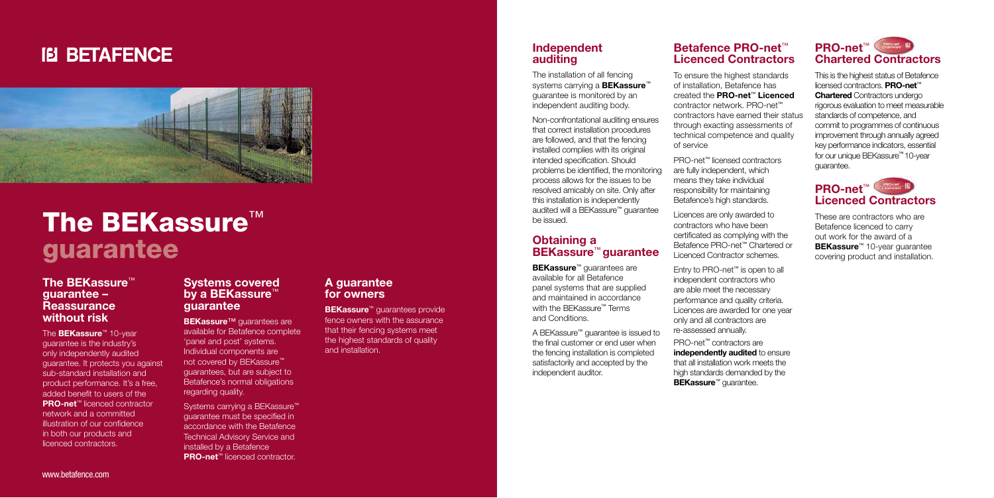### **IB BETAFENCE**



# The BEKassure<sup>™</sup> guarantee

#### **The BEKassure**™ **guarantee – Reassurance without risk**

The **BEKassure**™ 10-year guarantee is the industry's only independently audited guarantee. It protects you against sub-standard installation and product performance. It's a free, added benefit to users of the **PRO-net**™ licenced contractor network and a committed illustration of our confidence in both our products and licenced contractors.

Systems carrying a BEKassure<sup>™</sup> guarantee must be specified in accordance with the Betafence Technical Advisory Service and installed by a Betafence **PRO-net**™ licenced contractor.

#### **Systems covered by a BEKassure**™ **guarantee**

**BEKassure™** quarantees are available for Betafence complete 'panel and post' systems. Individual components are not covered by BEKassure™ guarantees, but are subject to Betafence's normal obligations regarding quality.

#### **A guarantee for owners**

**BEKassure**™ guarantees provide fence owners with the assurance that their fencing systems meet the highest standards of quality and installation.

#### **Independent auditing**

The installation of all fencing systems carrying a **BEKassure**™ guarantee is monitored by an independent auditing body.

> PRO-net™ contractors are **independently audited** to ensure that all installation work meets the high standards demanded by the **BEKassure™ guarantee.**

www.betafence.com

Non-confrontational auditing ensures that correct installation procedures are followed, and that the fencing installed complies with its original intended specification. Should problems be identified, the monitoring process allows for the issues to be resolved amicably on site. Only after this installation is independently audited will a BEKassure™ guarantee be issued.

#### **Obtaining a BEKassure**™ **guarantee**

**BEKassure**™ guarantees are available for all Betafence panel systems that are supplied and maintained in accordance with the BFKassure™ Terms and Conditions.

A BEKassure™ guarantee is issued to the final customer or end user when the fencing installation is completed satisfactorily and accepted by the independent auditor.

#### **Betafence PRO-net**™ **Licenced Contractors**

To ensure the highest standards of installation, Betafence has created the **PRO-net**™ **Licenced** contractor network. PRO-net™ contractors have earned their status through exacting assessments of technical competence and quality of service

PRO-net™ licensed contractors are fully independent, which means they take individual responsibility for maintaining Betafence's high standards.

Licences are only awarded to contractors who have been certificated as complying with the Betafence PRO-net™ Chartered or Licenced Contractor schemes.

Entry to PRO-net™ is open to all independent contractors who are able meet the necessary performance and quality criteria. Licences are awarded for one year only and all contractors are re-assessed annually.

### **PRO-net** ™ **Chartered Contractors**

This is the highest status of Betafence licensed contractors. **PRO-net** ™ **Chartered** Contractors undergo rigorous evaluation to meet measurable standards of competence, and commit to programmes of continuous improvement through annually agreed key performance indicators, essential for our unique BEKassure ™ 10-year guarantee.

### **PRO-net** ™ **Licenced Contractors**

These are contractors who are Betafence licenced to carry out work for the award of a **BEKassure** ™ 10-year guarantee covering product and installation.